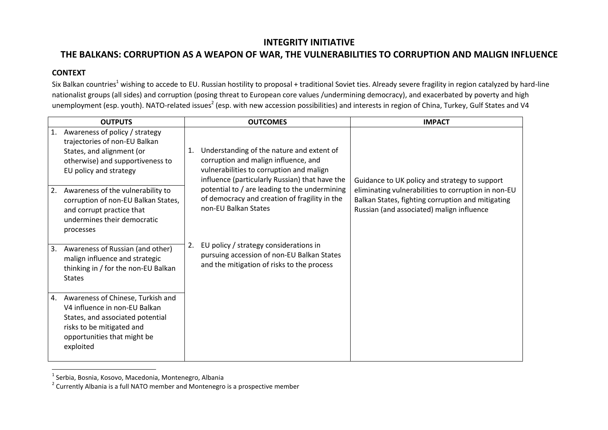## **INTEGRITY INITIATIVE**

# **THE BALKANS: CORRUPTION AS A WEAPON OF WAR, THE VULNERABILITIES TO CORRUPTION AND MALIGN INFLUENCE**

### **CONTEXT**

Six Balkan countries<sup>1</sup> wishing to accede to EU. Russian hostility to proposal + traditional Soviet ties. Already severe fragility in region catalyzed by hard-line nationalist groups (all sides) and corruption (posing threat to European core values /undermining democracy), and exacerbated by poverty and high unemployment (esp. youth). NATO-related issues<sup>2</sup> (esp. with new accession possibilities) and interests in region of China, Turkey, Gulf States and V4

| <b>OUTPUTS</b> |                                                                                                                                                                                 | <b>OUTCOMES</b> |                                                                                                                                                                                 | <b>IMPACT</b>                                                                                                                                         |
|----------------|---------------------------------------------------------------------------------------------------------------------------------------------------------------------------------|-----------------|---------------------------------------------------------------------------------------------------------------------------------------------------------------------------------|-------------------------------------------------------------------------------------------------------------------------------------------------------|
| 1.             | Awareness of policy / strategy<br>trajectories of non-EU Balkan<br>States, and alignment (or<br>otherwise) and supportiveness to<br>EU policy and strategy                      | 1.              | Understanding of the nature and extent of<br>corruption and malign influence, and<br>vulnerabilities to corruption and malign<br>influence (particularly Russian) that have the | Guidance to UK policy and strategy to support                                                                                                         |
| 2.             | Awareness of the vulnerability to<br>corruption of non-EU Balkan States,<br>and corrupt practice that<br>undermines their democratic<br>processes                               |                 | potential to / are leading to the undermining<br>of democracy and creation of fragility in the<br>non-EU Balkan States                                                          | eliminating vulnerabilities to corruption in non-EU<br>Balkan States, fighting corruption and mitigating<br>Russian (and associated) malign influence |
| 3.             | Awareness of Russian (and other)<br>malign influence and strategic<br>thinking in / for the non-EU Balkan<br><b>States</b>                                                      | 2.              | EU policy / strategy considerations in<br>pursuing accession of non-EU Balkan States<br>and the mitigation of risks to the process                                              |                                                                                                                                                       |
| 4.             | Awareness of Chinese, Turkish and<br>V4 influence in non-EU Balkan<br>States, and associated potential<br>risks to be mitigated and<br>opportunities that might be<br>exploited |                 |                                                                                                                                                                                 |                                                                                                                                                       |

 1 Serbia, Bosnia, Kosovo, Macedonia, Montenegro, Albania

 $2$  Currently Albania is a full NATO member and Montenegro is a prospective member